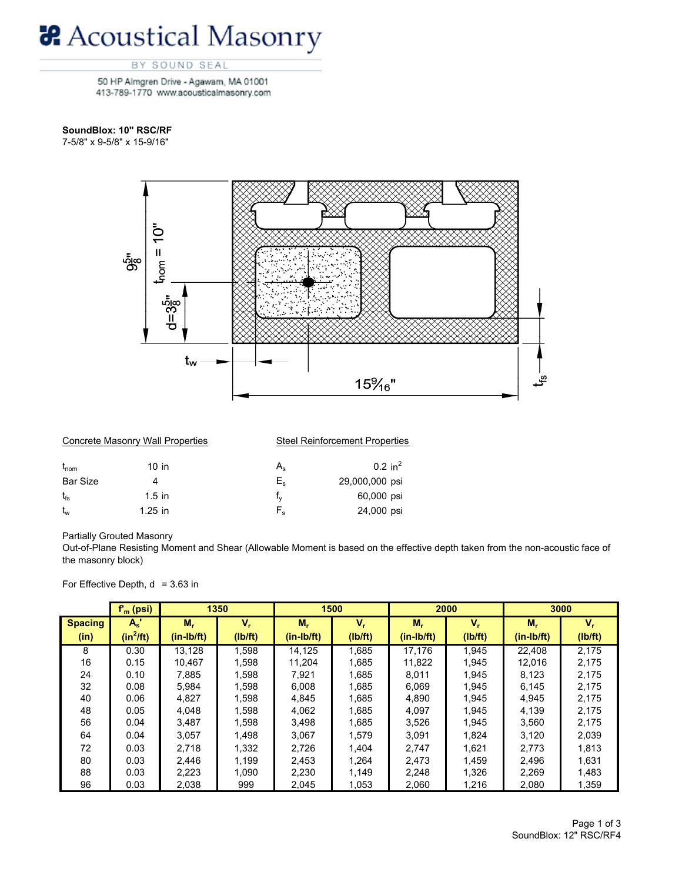## **&** Acoustical Masonry

## BY SOUND SEAL

50 HP Almgren Drive - Agawam, MA 01001 413-789-1770 www.acousticalmasonry.com

## SoundBlox: 10" RSC/RF

7-5/8" x 9-5/8" x 15-9/16"



|                  | Concrete Masonry Wall Properties | <b>Steel Reinforcement Properties</b> |                    |  |  |  |
|------------------|----------------------------------|---------------------------------------|--------------------|--|--|--|
| $t_{\text{nom}}$ | $10$ in                          | $A_{\rm s}$                           | $0.2 \text{ in}^2$ |  |  |  |
| <b>Bar Size</b>  |                                  | E.                                    | 29,000,000 psi     |  |  |  |
| $t_{fs}$         | $1.5$ in                         | t.                                    | 60,000 psi         |  |  |  |
| $t_{w}$          | $1.25$ in                        | $F_{\rm e}$                           | 24,000 psi         |  |  |  |

**Partially Grouted Masonry** 

Out-of-Plane Resisting Moment and Shear (Allowable Moment is based on the effective depth taken from the non-acoustic face of the masonry block)

For Effective Depth,  $d = 3.63$  in

|                        | $fm$ (psi)           |                    | 1350          |                       | 1500               |                    | 2000             |                    | 3000          |
|------------------------|----------------------|--------------------|---------------|-----------------------|--------------------|--------------------|------------------|--------------------|---------------|
| <b>Spacing</b><br>(in) | $A_s$<br>$(in^2/ft)$ | М,<br>$(in-lb/ft)$ | V.<br>(Ib/ft) | $M_r$<br>$(in-lb/ft)$ | $V_{r}$<br>(Ib/ft) | M,<br>$(in-lb/ft)$ | $V_r$<br>(Ib/ft) | М,<br>$(in-lb/ft)$ | v.<br>(Ib/ft) |
| 8                      |                      |                    |               |                       |                    |                    |                  |                    |               |
|                        | 0.30                 | 13.128             | 1,598         | 14.125                | 1.685              | 17.176             | 1.945            | 22.408             | 2.175         |
| 16                     | 0.15                 | 10.467             | 1,598         | 11.204                | 1.685              | 11,822             | 1.945            | 12,016             | 2,175         |
| 24                     | 0.10                 | 7.885              | 1.598         | 7.921                 | 1.685              | 8.011              | 1.945            | 8.123              | 2.175         |
| 32                     | 0.08                 | 5,984              | 1,598         | 6.008                 | 1,685              | 6,069              | 1,945            | 6,145              | 2,175         |
| 40                     | 0.06                 | 4,827              | 1,598         | 4.845                 | 1.685              | 4,890              | 1.945            | 4,945              | 2.175         |
| 48                     | 0.05                 | 4.048              | 1,598         | 4.062                 | 1.685              | 4.097              | 1.945            | 4.139              | 2.175         |
| 56                     | 0.04                 | 3,487              | 1,598         | 3.498                 | 1.685              | 3,526              | 1,945            | 3,560              | 2.175         |
| 64                     | 0.04                 | 3.057              | 1,498         | 3.067                 | 1.579              | 3.091              | 1.824            | 3.120              | 2,039         |
| 72                     | 0.03                 | 2.718              | 1,332         | 2.726                 | 1.404              | 2,747              | 1,621            | 2,773              | 1,813         |
| 80                     | 0.03                 | 2,446              | 1,199         | 2.453                 | 1.264              | 2.473              | 1.459            | 2,496              | 1,631         |
| 88                     | 0.03                 | 2,223              | 1,090         | 2,230                 | 1.149              | 2,248              | 1,326            | 2.269              | 1,483         |
| 96                     | 0.03                 | 2,038              | 999           | 2,045                 | 1,053              | 2,060              | 1,216            | 2,080              | 1,359         |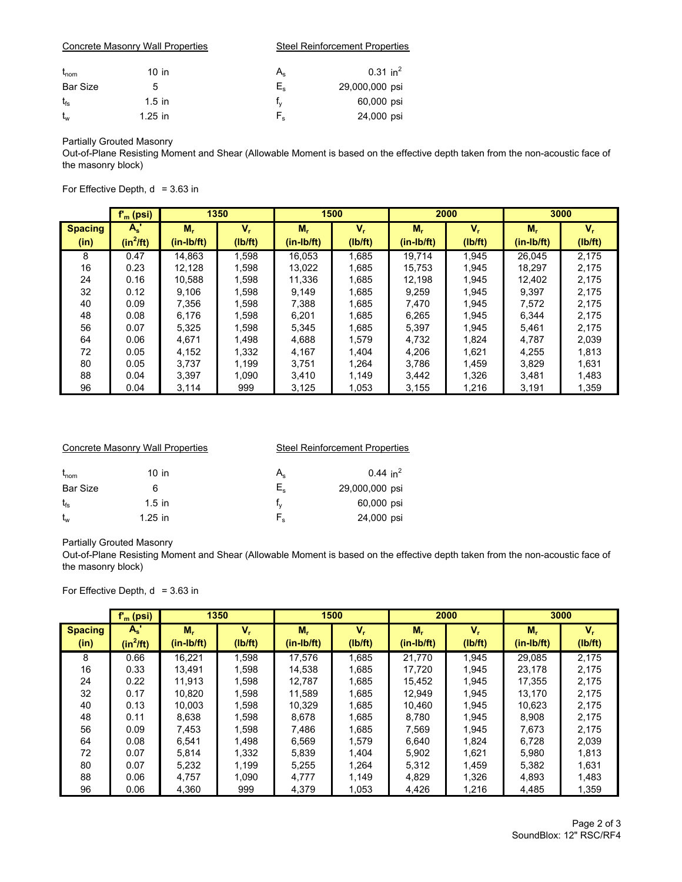|                  | Concrete Masonry Wall Properties | <b>Steel Reinforcement Properties</b> |                        |  |  |  |
|------------------|----------------------------------|---------------------------------------|------------------------|--|--|--|
| $t_{\text{nom}}$ | $10$ in                          | $\mathsf{A}_{\mathsf{s}}$             | $0.31$ in <sup>2</sup> |  |  |  |
| <b>Bar Size</b>  | 5                                | $E_{s}$                               | 29,000,000 psi         |  |  |  |
| $t_{fs}$         | $1.5$ in                         | t.                                    | 60,000 psi             |  |  |  |
| $t_{w}$          | $1.25$ in                        | F,                                    | 24,000 psi             |  |  |  |

**Partially Grouted Masonry** 

Out-of-Plane Resisting Moment and Shear (Allowable Moment is based on the effective depth taken from the non-acoustic face of the masonry block)

For Effective Depth,  $d = 3.63$  in

|                | $f_m$ (psi) |              | 1350    |              | 1500    |              | 2000    |              | 3000    |
|----------------|-------------|--------------|---------|--------------|---------|--------------|---------|--------------|---------|
| <b>Spacing</b> | $A_s$       | $M_{r}$      | v,      | М,           | V,      | $M_r$        | $V_r$   | $M_r$        | v.      |
| (in)           | $(in^2/ft)$ | $(in-lb/ft)$ | (Ib/ft) | $(in-lb/ft)$ | (Ib/ft) | $(in-lb/ft)$ | (Ib/ft) | $(in-lb/ft)$ | (Ib/ft) |
| 8              | 0.47        | 14.863       | 1,598   | 16.053       | 1.685   | 19.714       | 1.945   | 26.045       | 2.175   |
| 16             | 0.23        | 12.128       | 1,598   | 13,022       | 1.685   | 15.753       | 1.945   | 18,297       | 2,175   |
| 24             | 0.16        | 10.588       | 1,598   | 11,336       | 1,685   | 12,198       | 1.945   | 12,402       | 2,175   |
| 32             | 0.12        | 9.106        | 1,598   | 9.149        | 1.685   | 9.259        | 1.945   | 9.397        | 2.175   |
| 40             | 0.09        | 7.356        | 1,598   | 7.388        | 1.685   | 7.470        | 1.945   | 7.572        | 2.175   |
| 48             | 0.08        | 6.176        | 1,598   | 6.201        | 1.685   | 6.265        | 1.945   | 6.344        | 2.175   |
| 56             | 0.07        | 5,325        | 1,598   | 5.345        | 1.685   | 5,397        | 1.945   | 5.461        | 2.175   |
| 64             | 0.06        | 4.671        | 1,498   | 4.688        | 1.579   | 4,732        | 1.824   | 4.787        | 2,039   |
| 72             | 0.05        | 4,152        | 1,332   | 4,167        | 1.404   | 4,206        | 1.621   | 4,255        | 1,813   |
| 80             | 0.05        | 3.737        | 1.199   | 3.751        | 1.264   | 3.786        | 1.459   | 3.829        | 1,631   |
| 88             | 0.04        | 3,397        | 1.090   | 3.410        | 1,149   | 3.442        | 1.326   | 3,481        | 1,483   |
| 96             | 0.04        | 3,114        | 999     | 3,125        | 1,053   | 3.155        | 1,216   | 3,191        | 1,359   |

|                  | Concrete Masonry Wall Properties |    | <b>Steel Reinforcement Properties</b> |
|------------------|----------------------------------|----|---------------------------------------|
| $t_{\text{nom}}$ | $10$ in                          | A. | $0.44$ in <sup>2</sup>                |
| <b>Bar Size</b>  | 6                                | E. | 29,000,000 psi                        |
| $t_{fs}$         | $1.5$ in                         |    | 60,000 psi                            |
| $t_{w}$          | $1.25$ in                        | F, | 24,000 psi                            |

**Partially Grouted Masonry** 

Out-of-Plane Resisting Moment and Shear (Allowable Moment is based on the effective depth taken from the non-acoustic face of the masonry block)

For Effective Depth,  $d = 3.63$  in

|                | $f_m$ (psi) |              | 1350    |              | 1500    | 2000       |                           |              | 3000    |
|----------------|-------------|--------------|---------|--------------|---------|------------|---------------------------|--------------|---------|
| <b>Spacing</b> | $A_s$       | М,           | v,      | М,           | $V_r$   | М,         | $\mathsf{V}_{\mathsf{r}}$ | М.           | $V_{r}$ |
| (in)           | $(in^2ft)$  | $(in-lb/ft)$ | (Ib/ft) | $(in-lb/ft)$ | (Ib/ft) | (in-Ib/ft) | (Ib/ft)                   | $(in-lb/ft)$ | (Ib/ft) |
| 8              | 0.66        | 16.221       | 1,598   | 17.576       | 1.685   | 21.770     | 1.945                     | 29.085       | 2.175   |
| 16             | 0.33        | 13.491       | 1,598   | 14.538       | 1.685   | 17.720     | 1.945                     | 23.178       | 2,175   |
| 24             | 0.22        | 11.913       | 1,598   | 12.787       | 1.685   | 15,452     | 1.945                     | 17.355       | 2.175   |
| 32             | 0.17        | 10.820       | 1,598   | 11.589       | 1.685   | 12.949     | 1.945                     | 13.170       | 2,175   |
| 40             | 0.13        | 10.003       | 1,598   | 10.329       | 1.685   | 10.460     | 1.945                     | 10.623       | 2,175   |
| 48             | 0.11        | 8,638        | 1,598   | 8.678        | 1.685   | 8.780      | 1.945                     | 8.908        | 2,175   |
| 56             | 0.09        | 7.453        | 1,598   | 7.486        | 1.685   | 7.569      | 1.945                     | 7.673        | 2.175   |
| 64             | 0.08        | 6.541        | 1.498   | 6.569        | 1.579   | 6.640      | 1.824                     | 6.728        | 2,039   |
| 72             | 0.07        | 5,814        | 1,332   | 5,839        | 1.404   | 5,902      | 1,621                     | 5,980        | 1,813   |
| 80             | 0.07        | 5,232        | 1.199   | 5.255        | 1.264   | 5,312      | 1.459                     | 5.382        | 1,631   |
| 88             | 0.06        | 4.757        | 1.090   | 4.777        | 1.149   | 4,829      | 1,326                     | 4.893        | 1,483   |
| 96             | 0.06        | 4,360        | 999     | 4,379        | 1,053   | 4,426      | 1,216                     | 4,485        | 1,359   |